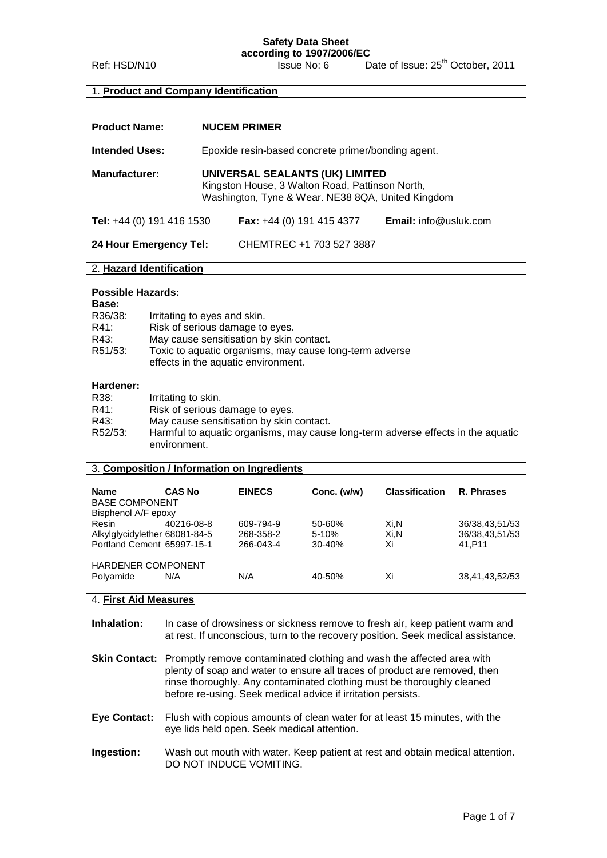Ref: HSD/N10 **ISSUE No: 6** Date of Issue: 25<sup>th</sup> October, 2011

#### 1. **Product and Company Identification**

| <b>Product Name:</b>             | <b>NUCEM PRIMER</b>                                                                                                                     |                                    |                                 |
|----------------------------------|-----------------------------------------------------------------------------------------------------------------------------------------|------------------------------------|---------------------------------|
| <b>Intended Uses:</b>            | Epoxide resin-based concrete primer/bonding agent.                                                                                      |                                    |                                 |
| <b>Manufacturer:</b>             | UNIVERSAL SEALANTS (UK) LIMITED<br>Kingston House, 3 Walton Road, Pattinson North,<br>Washington, Tyne & Wear. NE38 8QA, United Kingdom |                                    |                                 |
| <b>Tel:</b> +44 (0) 191 416 1530 |                                                                                                                                         | <b>Fax:</b> $+44$ (0) 191 415 4377 | <b>Email:</b> $info@$ usluk.com |
| 24 Hour Emergency Tel:           |                                                                                                                                         | CHEMTREC +1 703 527 3887           |                                 |

# 2. **Hazard Identification**

## **Possible Hazards:**

| <b>Base:</b> |                                                                                                |
|--------------|------------------------------------------------------------------------------------------------|
| R36/38:      | Irritating to eyes and skin.                                                                   |
| R41:         | Risk of serious damage to eyes.                                                                |
| R43:         | May cause sensitisation by skin contact.                                                       |
| R51/53:      | Toxic to aquatic organisms, may cause long-term adverse<br>effects in the aquatic environment. |

#### **Hardener:**

| R38:    | Irritating to skin.                                                                              |
|---------|--------------------------------------------------------------------------------------------------|
| R41:    | Risk of serious damage to eyes.                                                                  |
| R43:    | May cause sensitisation by skin contact.                                                         |
| R52/53. | Harmful to aquatic organisms, may cause long-term adverse effects in the aquatic<br>environment. |

#### 3. **Composition / Information on Ingredients**

| <b>Name</b>                   | <b>CAS No</b> | <b>EINECS</b> | Conc. (w/w) | <b>Classification</b> | R. Phrases     |
|-------------------------------|---------------|---------------|-------------|-----------------------|----------------|
| <b>BASE COMPONENT</b>         |               |               |             |                       |                |
| Bisphenol A/F epoxy           |               |               |             |                       |                |
| Resin                         | 40216-08-8    | 609-794-9     | 50-60%      | Xi.N                  | 36/38,43,51/53 |
| Alkylglycidylether 68081-84-5 |               | 268-358-2     | $5-10%$     | Xi.N                  | 36/38,43,51/53 |
| Portland Cement 65997-15-1    |               | 266-043-4     | $30 - 40%$  | Xi                    | 41.P11         |
| <b>HARDENER COMPONENT</b>     |               |               |             |                       |                |
| Polyamide                     | N/A           | N/A           | 40-50%      | Xi                    | 38,41,43,52/53 |
|                               |               |               |             |                       |                |
| 4. First Aid Measures         |               |               |             |                       |                |

**Inhalation:** In case of drowsiness or sickness remove to fresh air, keep patient warm and at rest. If unconscious, turn to the recovery position. Seek medical assistance.

- **Skin Contact:** Promptly remove contaminated clothing and wash the affected area with plenty of soap and water to ensure all traces of product are removed, then rinse thoroughly. Any contaminated clothing must be thoroughly cleaned before re-using. Seek medical advice if irritation persists.
- **Eye Contact:** Flush with copious amounts of clean water for at least 15 minutes, with the eye lids held open. Seek medical attention.
- **Ingestion:** Wash out mouth with water. Keep patient at rest and obtain medical attention. DO NOT INDUCE VOMITING.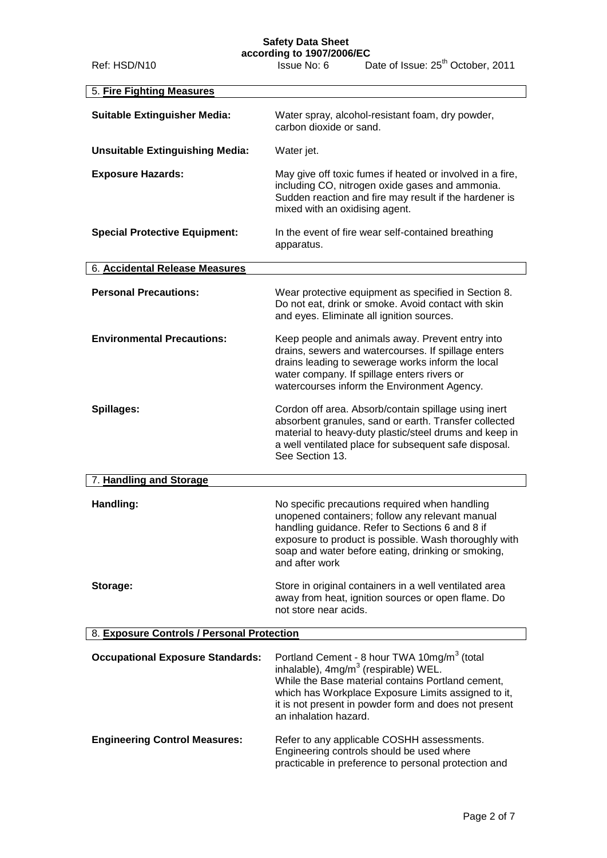# **Safety Data Sheet**

| 5. Fire Fighting Measures                  |                                                                                                                                                                                                                                                                                                           |  |
|--------------------------------------------|-----------------------------------------------------------------------------------------------------------------------------------------------------------------------------------------------------------------------------------------------------------------------------------------------------------|--|
| <b>Suitable Extinguisher Media:</b>        | Water spray, alcohol-resistant foam, dry powder,<br>carbon dioxide or sand.                                                                                                                                                                                                                               |  |
| <b>Unsuitable Extinguishing Media:</b>     | Water jet.                                                                                                                                                                                                                                                                                                |  |
| <b>Exposure Hazards:</b>                   | May give off toxic fumes if heated or involved in a fire,<br>including CO, nitrogen oxide gases and ammonia.<br>Sudden reaction and fire may result if the hardener is<br>mixed with an oxidising agent.                                                                                                  |  |
| <b>Special Protective Equipment:</b>       | In the event of fire wear self-contained breathing<br>apparatus.                                                                                                                                                                                                                                          |  |
| <b>6. Accidental Release Measures</b>      |                                                                                                                                                                                                                                                                                                           |  |
| <b>Personal Precautions:</b>               | Wear protective equipment as specified in Section 8.<br>Do not eat, drink or smoke. Avoid contact with skin<br>and eyes. Eliminate all ignition sources.                                                                                                                                                  |  |
| <b>Environmental Precautions:</b>          | Keep people and animals away. Prevent entry into<br>drains, sewers and watercourses. If spillage enters<br>drains leading to sewerage works inform the local<br>water company. If spillage enters rivers or<br>watercourses inform the Environment Agency.                                                |  |
| Spillages:                                 | Cordon off area. Absorb/contain spillage using inert<br>absorbent granules, sand or earth. Transfer collected<br>material to heavy-duty plastic/steel drums and keep in<br>a well ventilated place for subsequent safe disposal.<br>See Section 13.                                                       |  |
| 7. Handling and Storage                    |                                                                                                                                                                                                                                                                                                           |  |
| Handling:                                  | No specific precautions required when handling<br>unopened containers; follow any relevant manual<br>handling guidance. Refer to Sections 6 and 8 if<br>exposure to product is possible. Wash thoroughly with<br>soap and water before eating, drinking or smoking,<br>and after work                     |  |
| Storage:                                   | Store in original containers in a well ventilated area<br>away from heat, ignition sources or open flame. Do<br>not store near acids.                                                                                                                                                                     |  |
| 8. Exposure Controls / Personal Protection |                                                                                                                                                                                                                                                                                                           |  |
| <b>Occupational Exposure Standards:</b>    | Portland Cement - 8 hour TWA 10mg/m <sup>3</sup> (total<br>inhalable), 4mg/m <sup>3</sup> (respirable) WEL.<br>While the Base material contains Portland cement,<br>which has Workplace Exposure Limits assigned to it,<br>it is not present in powder form and does not present<br>an inhalation hazard. |  |
| <b>Engineering Control Measures:</b>       | Refer to any applicable COSHH assessments.<br>Engineering controls should be used where<br>practicable in preference to personal protection and                                                                                                                                                           |  |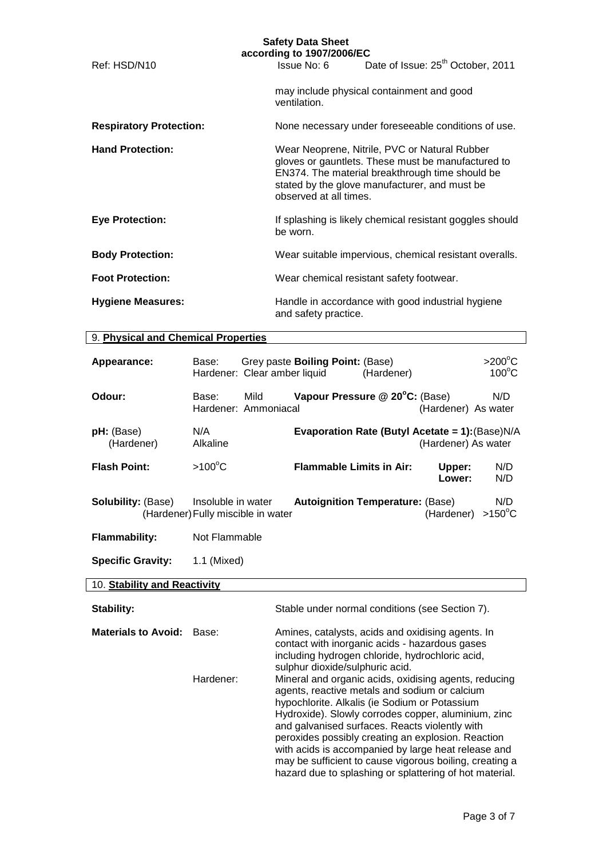|                                | <b>Safety Data Sheet</b><br>according to 1907/2006/EC                                                                                                                                                                             |
|--------------------------------|-----------------------------------------------------------------------------------------------------------------------------------------------------------------------------------------------------------------------------------|
| Ref: HSD/N10                   | Issue No: 6 Date of Issue: 25 <sup>th</sup> October, 2011                                                                                                                                                                         |
|                                | may include physical containment and good<br>ventilation.                                                                                                                                                                         |
| <b>Respiratory Protection:</b> | None necessary under foreseeable conditions of use.                                                                                                                                                                               |
| <b>Hand Protection:</b>        | Wear Neoprene, Nitrile, PVC or Natural Rubber<br>gloves or gauntlets. These must be manufactured to<br>EN374. The material breakthrough time should be<br>stated by the glove manufacturer, and must be<br>observed at all times. |
| <b>Eye Protection:</b>         | If splashing is likely chemical resistant goggles should<br>be worn.                                                                                                                                                              |
| <b>Body Protection:</b>        | Wear suitable impervious, chemical resistant overalls.                                                                                                                                                                            |
| <b>Foot Protection:</b>        | Wear chemical resistant safety footwear.                                                                                                                                                                                          |
| <b>Hygiene Measures:</b>       | Handle in accordance with good industrial hygiene<br>and safety practice.                                                                                                                                                         |

# 9. **Physical and Chemical Properties**

| Appearance:                     | Base:              | Hardener: Clear amber liquid       | Grey paste Boiling Point: (Base)                | (Hardener) |                     | $>200^{\circ}$ C<br>$100^{\circ}$ C |
|---------------------------------|--------------------|------------------------------------|-------------------------------------------------|------------|---------------------|-------------------------------------|
| Odour:                          | Base:              | Mild.<br>Hardener: Ammoniacal      | Vapour Pressure @ 20°C: (Base)                  |            | (Hardener) As water | N/D                                 |
| <b>pH:</b> (Base)<br>(Hardener) | N/A<br>Alkaline    |                                    | Evaporation Rate (Butyl Acetate = 1): (Base)N/A |            | (Hardener) As water |                                     |
| <b>Flash Point:</b>             | $>100^{\circ}$ C   |                                    | <b>Flammable Limits in Air:</b>                 |            | Upper:<br>Lower:    | N/D<br>N/D                          |
| <b>Solubility:</b> (Base)       | Insoluble in water | (Hardener) Fully miscible in water | <b>Autoignition Temperature: (Base)</b>         |            | (Hardener)          | N/D<br>$>150^{\circ}$ C             |

**Flammability:** Not Flammable

**Specific Gravity:** 1.1 (Mixed)

# 10. **Stability and Reactivity**

| <b>Stability:</b>          |           | Stable under normal conditions (see Section 7).                                                                                                                                                                                                                                                                                                                                                                                                                                                     |
|----------------------------|-----------|-----------------------------------------------------------------------------------------------------------------------------------------------------------------------------------------------------------------------------------------------------------------------------------------------------------------------------------------------------------------------------------------------------------------------------------------------------------------------------------------------------|
| <b>Materials to Avoid:</b> | Base:     | Amines, catalysts, acids and oxidising agents. In<br>contact with inorganic acids - hazardous gases<br>including hydrogen chloride, hydrochloric acid,<br>sulphur dioxide/sulphuric acid.                                                                                                                                                                                                                                                                                                           |
|                            | Hardener: | Mineral and organic acids, oxidising agents, reducing<br>agents, reactive metals and sodium or calcium<br>hypochlorite. Alkalis (ie Sodium or Potassium<br>Hydroxide). Slowly corrodes copper, aluminium, zinc<br>and galvanised surfaces. Reacts violently with<br>peroxides possibly creating an explosion. Reaction<br>with acids is accompanied by large heat release and<br>may be sufficient to cause vigorous boiling, creating a<br>hazard due to splashing or splattering of hot material. |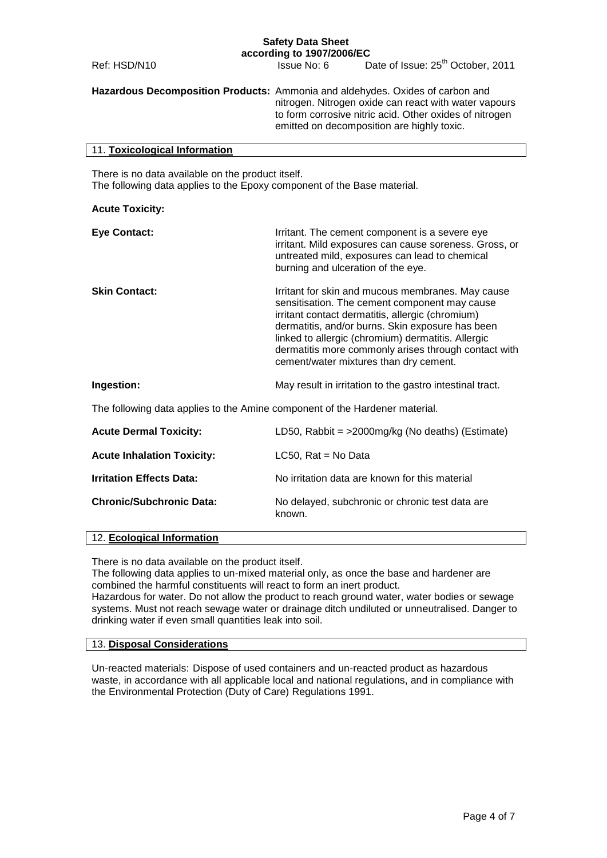Ref: HSD/N10 **ISSUE No: 6** Date of Issue: 25<sup>th</sup> October, 2011

**Hazardous Decomposition Products:** Ammonia and aldehydes. Oxides of carbon and nitrogen. Nitrogen oxide can react with water vapours to form corrosive nitric acid. Other oxides of nitrogen emitted on decomposition are highly toxic.

#### 11. **Toxicological Information**

There is no data available on the product itself. The following data applies to the Epoxy component of the Base material.

#### **Acute Toxicity:**

| <b>Eye Contact:</b>  | Irritant. The cement component is a severe eye<br>irritant. Mild exposures can cause soreness. Gross, or<br>untreated mild, exposures can lead to chemical<br>burning and ulceration of the eye.                                                                                                                                                                   |
|----------------------|--------------------------------------------------------------------------------------------------------------------------------------------------------------------------------------------------------------------------------------------------------------------------------------------------------------------------------------------------------------------|
| <b>Skin Contact:</b> | Irritant for skin and mucous membranes. May cause<br>sensitisation. The cement component may cause<br>irritant contact dermatitis, allergic (chromium)<br>dermatitis, and/or burns. Skin exposure has been<br>linked to allergic (chromium) dermatitis. Allergic<br>dermatitis more commonly arises through contact with<br>cement/water mixtures than dry cement. |
| Ingestion:           | May result in irritation to the gastro intestinal tract.                                                                                                                                                                                                                                                                                                           |

The following data applies to the Amine component of the Hardener material.

| <b>Acute Dermal Toxicity:</b>     | LD50, Rabbit = >2000mg/kg (No deaths) (Estimate)           |
|-----------------------------------|------------------------------------------------------------|
| <b>Acute Inhalation Toxicity:</b> | LC50, $Rate = No Data$                                     |
| <b>Irritation Effects Data:</b>   | No irritation data are known for this material             |
| <b>Chronic/Subchronic Data:</b>   | No delayed, subchronic or chronic test data are.<br>known. |

# 12. **Ecological Information**

There is no data available on the product itself.

The following data applies to un-mixed material only, as once the base and hardener are combined the harmful constituents will react to form an inert product.

Hazardous for water. Do not allow the product to reach ground water, water bodies or sewage systems. Must not reach sewage water or drainage ditch undiluted or unneutralised. Danger to drinking water if even small quantities leak into soil.

#### 13. **Disposal Considerations**

Un-reacted materials: Dispose of used containers and un-reacted product as hazardous waste, in accordance with all applicable local and national regulations, and in compliance with the Environmental Protection (Duty of Care) Regulations 1991.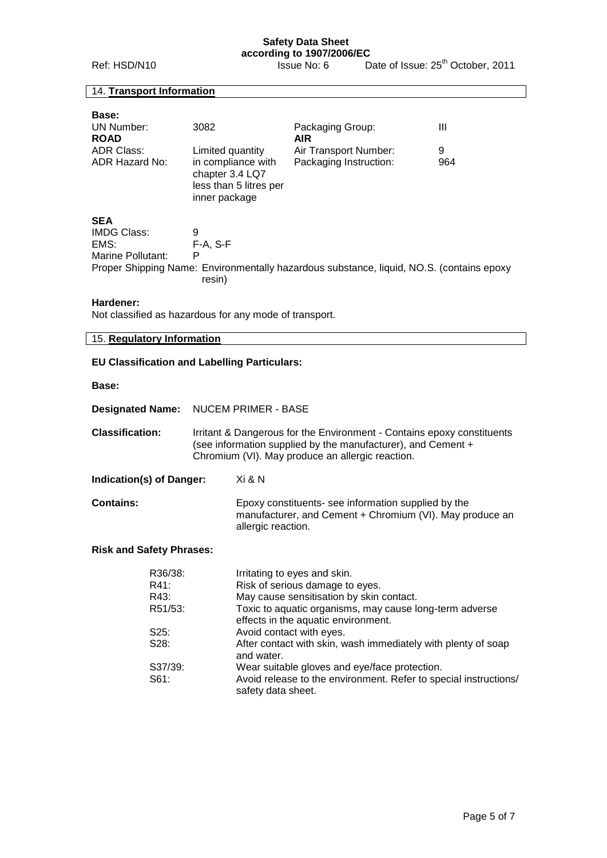Ref: HSD/N10 **ISSUE No: 6** Date of Issue: 25<sup>th</sup> October, 2011

## 14. **Transport Information**

| <b>Base:</b><br>UN Number:<br><b>ROAD</b><br>ADR Class:<br>ADR Hazard No: | 3082<br>Limited quantity<br>in compliance with<br>chapter 3.4 LQ7<br>less than 5 litres per<br>inner package | Packaging Group:<br><b>AIR</b><br>Air Transport Number:<br>Packaging Instruction:        | Ш<br>9<br>964 |
|---------------------------------------------------------------------------|--------------------------------------------------------------------------------------------------------------|------------------------------------------------------------------------------------------|---------------|
| <b>SEA</b><br>IMDG Class:<br>EMS:<br>Marine Pollutant:                    | 9<br>F-A. S-F<br>P<br>resin)                                                                                 | Proper Shipping Name: Environmentally hazardous substance, liquid, NO.S. (contains epoxy |               |

#### **Hardener:**

Not classified as hazardous for any mode of transport.

## 15. **Regulatory Information**

#### **EU Classification and Labelling Particulars:**

#### **Base:**

**Designated Name:** NUCEM PRIMER - BASE

**Classification:** Irritant & Dangerous for the Environment - Contains epoxy constituents (see information supplied by the manufacturer), and Cement + Chromium (VI). May produce an allergic reaction.

**Indication(s) of Danger:** Xi & N

**Contains:** Epoxy constituents- see information supplied by the manufacturer, and Cement + Chromium (VI). May produce an allergic reaction.

#### **Risk and Safety Phrases:**

| R36/38: | Irritating to eyes and skin.                                                                   |
|---------|------------------------------------------------------------------------------------------------|
| R41:    | Risk of serious damage to eyes.                                                                |
| R43:    | May cause sensitisation by skin contact.                                                       |
| R51/53: | Toxic to aquatic organisms, may cause long-term adverse<br>effects in the aquatic environment. |
| S25:    | Avoid contact with eyes.                                                                       |
| S28:    | After contact with skin, wash immediately with plenty of soap<br>and water.                    |
| S37/39: | Wear suitable gloves and eye/face protection.                                                  |
| S61:    | Avoid release to the environment. Refer to special instructions/<br>safety data sheet.         |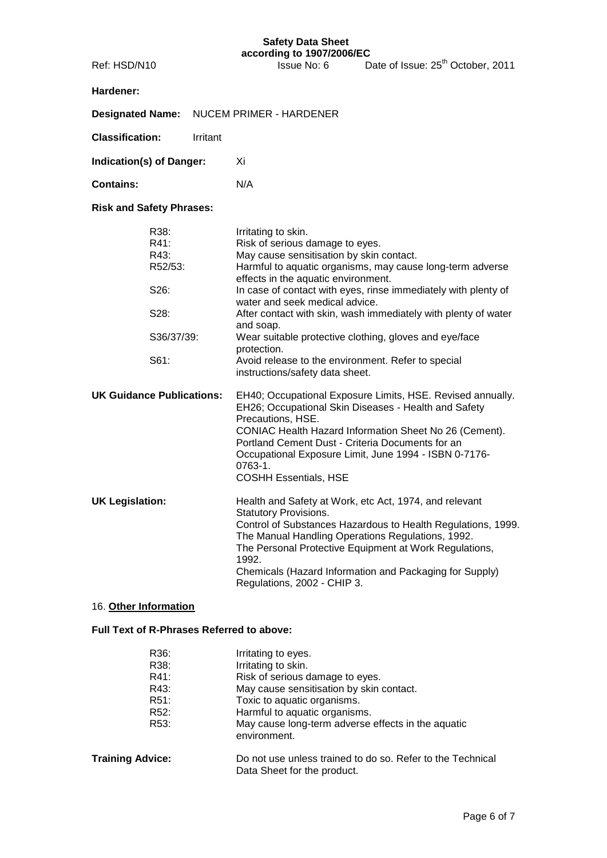# **Hardener:**

| Designated Name: NUCEM PRIMER - HARDENER |  |
|------------------------------------------|--|
|------------------------------------------|--|

**Classification:** Irritant

**Indication(s) of Danger:** Xi

**Contains:** N/A

**Risk and Safety Phrases:**

|                        | R38:<br>R41:<br>R43:<br>R52/53:<br>S26:<br>S28: | Irritating to skin.<br>Risk of serious damage to eyes.<br>May cause sensitisation by skin contact.<br>Harmful to aquatic organisms, may cause long-term adverse<br>effects in the aquatic environment.<br>In case of contact with eyes, rinse immediately with plenty of<br>water and seek medical advice.<br>After contact with skin, wash immediately with plenty of water<br>and soap. |
|------------------------|-------------------------------------------------|-------------------------------------------------------------------------------------------------------------------------------------------------------------------------------------------------------------------------------------------------------------------------------------------------------------------------------------------------------------------------------------------|
|                        | S36/37/39:                                      | Wear suitable protective clothing, gloves and eye/face<br>protection.                                                                                                                                                                                                                                                                                                                     |
|                        | S61:                                            | Avoid release to the environment. Refer to special<br>instructions/safety data sheet.                                                                                                                                                                                                                                                                                                     |
|                        | <b>UK Guidance Publications:</b>                | EH40; Occupational Exposure Limits, HSE. Revised annually.<br>EH26; Occupational Skin Diseases - Health and Safety<br>Precautions, HSE.<br>CONIAC Health Hazard Information Sheet No 26 (Cement).<br>Portland Cement Dust - Criteria Documents for an<br>Occupational Exposure Limit, June 1994 - ISBN 0-7176-<br>$0763 - 1$ .<br><b>COSHH Essentials, HSE</b>                            |
| <b>UK Legislation:</b> |                                                 | Health and Safety at Work, etc Act, 1974, and relevant<br><b>Statutory Provisions.</b><br>Control of Substances Hazardous to Health Regulations, 1999.<br>The Manual Handling Operations Regulations, 1992.<br>The Personal Protective Equipment at Work Regulations,<br>1992.<br>Chemicals (Hazard Information and Packaging for Supply)<br>Regulations, 2002 - CHIP 3.                  |

# 16. **Other Information**

# **Full Text of R-Phrases Referred to above:**

| Irritating to eyes.                                                                       |
|-------------------------------------------------------------------------------------------|
| Irritating to skin.                                                                       |
| Risk of serious damage to eyes.                                                           |
| May cause sensitisation by skin contact.                                                  |
| Toxic to aquatic organisms.                                                               |
| Harmful to aquatic organisms.                                                             |
| May cause long-term adverse effects in the aquatic<br>environment.                        |
| Do not use unless trained to do so. Refer to the Technical<br>Data Sheet for the product. |
|                                                                                           |